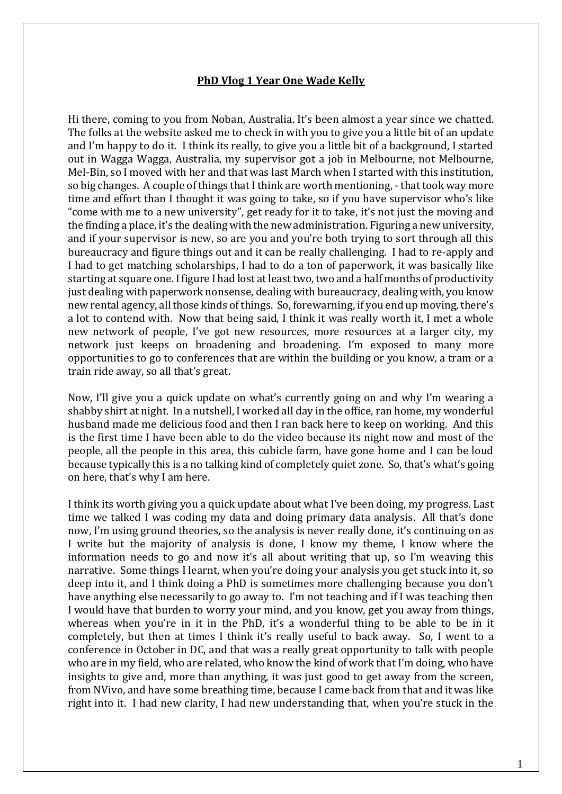## **PhD Vlog 1 Year One Wade Kelly**

Hi there, coming to you from Noban, Australia. It's been almost a year since we chatted. The folks at the website asked me to check in with you to give you a little bit of an update and I'm happy to do it. I think its really, to give you a little bit of a background, I started out in Wagga Wagga, Australia, my supervisor got a job in Melbourne, not Melbourne, Mel-Bin, so I moved with her and that was last March when I started with this institution, so big changes. A couple of things that I think are worth mentioning, - that took way more time and effort than I thought it was going to take, so if you have supervisor who's like "come with me to a new university", get ready for it to take, it's not just the moving and the finding a place, it's the dealing with the new administration. Figuring a new university, and if your supervisor is new, so are you and you're both trying to sort through all this bureaucracy and figure things out and it can be really challenging. I had to re-apply and I had to get matching scholarships, I had to do a ton of paperwork, it was basically like starting at square one. I figure I had lost at least two, two and a half months of productivity just dealing with paperwork nonsense, dealing with bureaucracy, dealing with, you know new rental agency, all those kinds of things. So, forewarning, if you end up moving, there's a lot to contend with. Now that being said, I think it was really worth it, I met a whole new network of people, I've got new resources, more resources at a larger city, my network just keeps on broadening and broadening. I'm exposed to many more opportunities to go to conferences that are within the building or you know, a tram or a train ride away, so all that's great.

Now, I'll give you a quick update on what's currently going on and why I'm wearing a shabby shirt at night. In a nutshell, I worked all day in the office, ran home, my wonderful husband made me delicious food and then I ran back here to keep on working. And this is the first time I have been able to do the video because its night now and most of the people, all the people in this area, this cubicle farm, have gone home and I can be loud because typically this is a no talking kind of completely quiet zone. So, that's what's going on here, that's why I am here.

I think its worth giving you a quick update about what I've been doing, my progress. Last time we talked I was coding my data and doing primary data analysis. All that's done now, I'm using ground theories, so the analysis is never really done, it's continuing on as I write but the majority of analysis is done, I know my theme, I know where the information needs to go and now it's all about writing that up, so I'm weaving this narrative. Some things I learnt, when you're doing your analysis you get stuck into it, so deep into it, and I think doing a PhD is sometimes more challenging because you don't have anything else necessarily to go away to. I'm not teaching and if I was teaching then I would have that burden to worry your mind, and you know, get you away from things, whereas when you're in it in the PhD, it's a wonderful thing to be able to be in it completely, but then at times I think it's really useful to back away. So, I went to a conference in October in DC, and that was a really great opportunity to talk with people who are in my field, who are related, who know the kind of work that I'm doing, who have insights to give and, more than anything, it was just good to get away from the screen, from NVivo, and have some breathing time, because I came back from that and it was like right into it. I had new clarity, I had new understanding that, when you're stuck in the

1